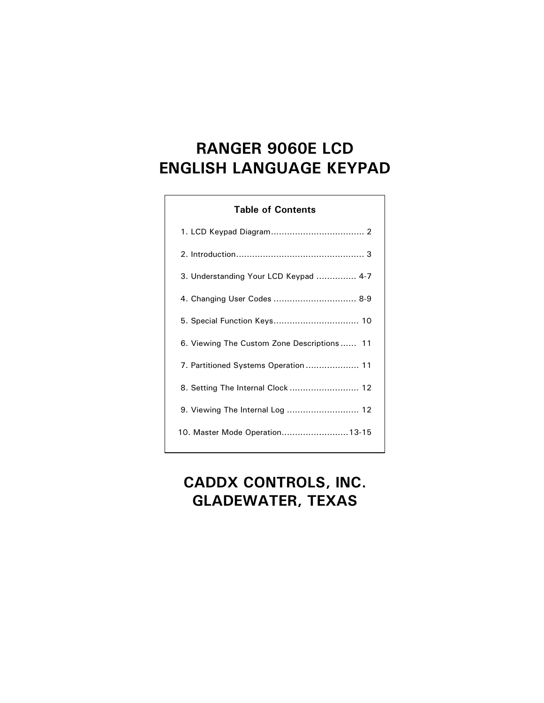# **RANGER 9060E LCD ENGLISH LANGUAGE KEYPAD**

#### **Table of Contents**

| 3. Understanding Your LCD Keypad  4-7      |
|--------------------------------------------|
| 4. Changing User Codes  8-9                |
|                                            |
| 6. Viewing The Custom Zone Descriptions 11 |
| 7. Partitioned Systems Operation  11       |
| 8. Setting The Internal Clock  12          |
| 9. Viewing The Internal Log  12            |
| 10. Master Mode Operation13-15             |

# **CADDX CONTROLS, INC. GLADEWATER, TEXAS**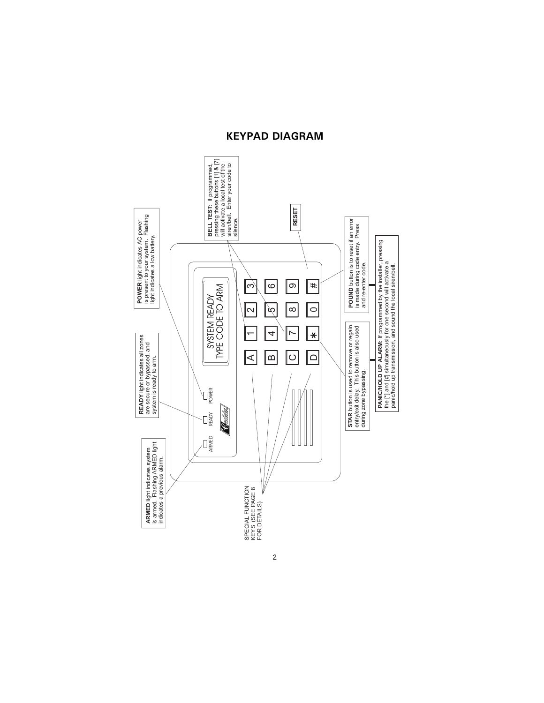## KEYPAD DIAGRAM

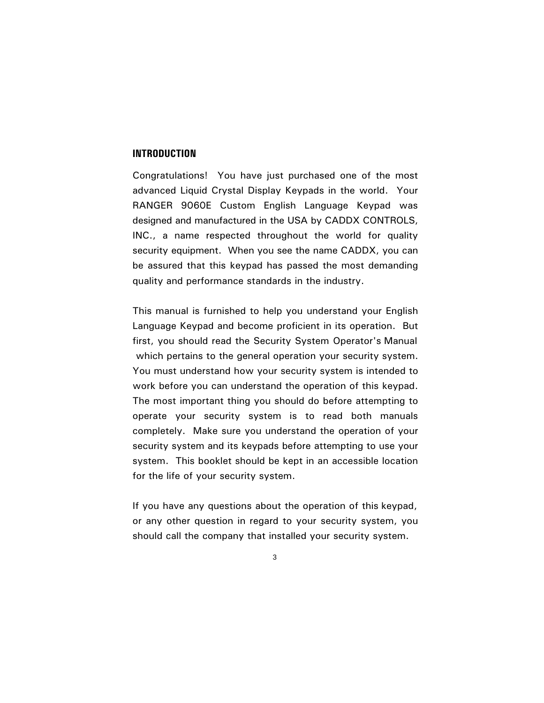#### **INTRODUCTION**

Congratulations! You have just purchased one of the most advanced Liquid Crystal Display Keypads in the world. Your RANGER 9060E Custom English Language Keypad was designed and manufactured in the USA by CADDX CONTROLS, INC., a name respected throughout the world for quality security equipment. When you see the name CADDX, you can be assured that this keypad has passed the most demanding quality and performance standards in the industry.

This manual is furnished to help you understand your English Language Keypad and become proficient in its operation. But first, you should read the Security System Operator's Manual which pertains to the general operation your security system. You must understand how your security system is intended to work before you can understand the operation of this keypad. The most important thing you should do before attempting to operate your security system is to read both manuals completely. Make sure you understand the operation of your security system and its keypads before attempting to use your system. This booklet should be kept in an accessible location for the life of your security system.

If you have any questions about the operation of this keypad, or any other question in regard to your security system, you should call the company that installed your security system.

 $\mathbf{3}$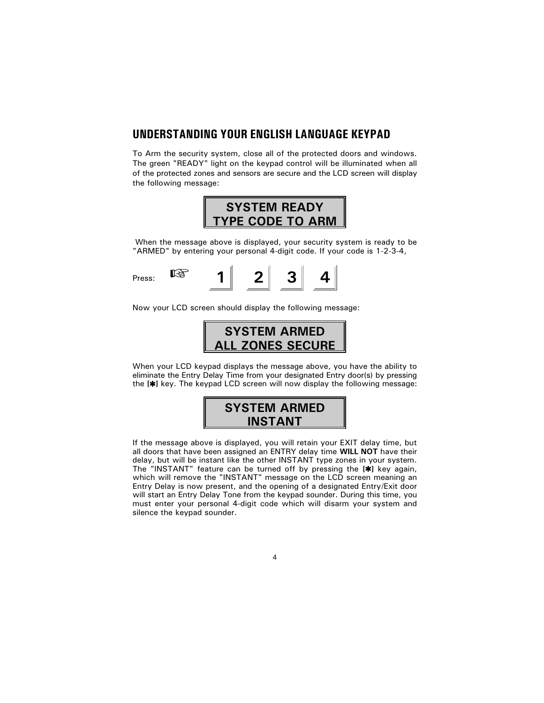#### UNDERSTANDING YOUR ENGLISH LANGUAGE KEYPAD

To Arm the security system, close all of the protected doors and windows. The green "READY" light on the keypad control will be illuminated when all of the protected zones and sensors are secure and the LCD screen will display the following message:



When the message above is displayed, your security system is ready to be "ARMED" by entering your personal 4-digit code. If your code is 1-2-3-4,



Now your LCD screen should display the following message:



When your LCD keypad displays the message above, you have the ability to eliminate the Entry Delay Time from your designated Entry door(s) by pressing the [ $\star$ ] key. The keypad LCD screen will now display the following message:



If the message above is displayed, you will retain your EXIT delay time, but all doors that have been assigned an ENTRY delay time WILL NOT have their delay, but will be instant like the other INSTANT type zones in your system. The "INSTANT" feature can be turned off by pressing the [\*] key again, which will remove the "INSTANT" message on the LCD screen meaning an Entry Delay is now present, and the opening of a designated Entry/Exit door will start an Entry Delay Tone from the keypad sounder. During this time, you must enter your personal 4-digit code which will disarm your system and silence the keypad sounder.

 $\overline{\mathbf{4}}$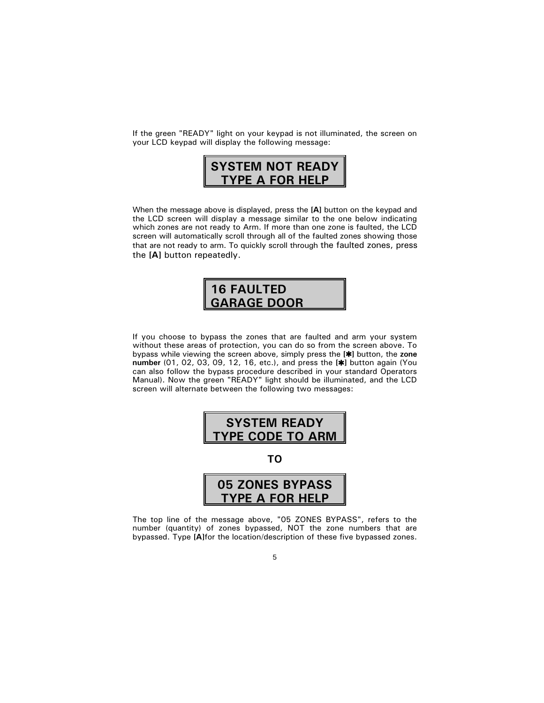If the green "READY" light on your keypad is not illuminated, the screen on your LCD keypad will display the following message:



When the message above is displayed, press the [A] button on the keypad and the LCD screen will display a message similar to the one below indicating which zones are not ready to Arm. If more than one zone is faulted, the LCD screen will automatically scroll through all of the faulted zones showing those that are not ready to arm. To quickly scroll through the faulted zones, press the [A] button repeatedly.

## **16 FAULTED GARAGE DOOR**

If you choose to bypass the zones that are faulted and arm your system without these areas of protection, you can do so from the screen above. To bypass while viewing the screen above, simply press the [\*] button, the zone number (01, 02, 03, 09, 12, 16, etc.), and press the  $[\ast]$  button again (You can also follow the bypass procedure described in your standard Operators Manual). Now the green "READY" light should be illuminated, and the LCD screen will alternate between the following two messages:



The top line of the message above, "05 ZONES BYPASS", refers to the number (quantity) of zones bypassed, NOT the zone numbers that are bypassed. Type [A]for the location/description of these five bypassed zones.

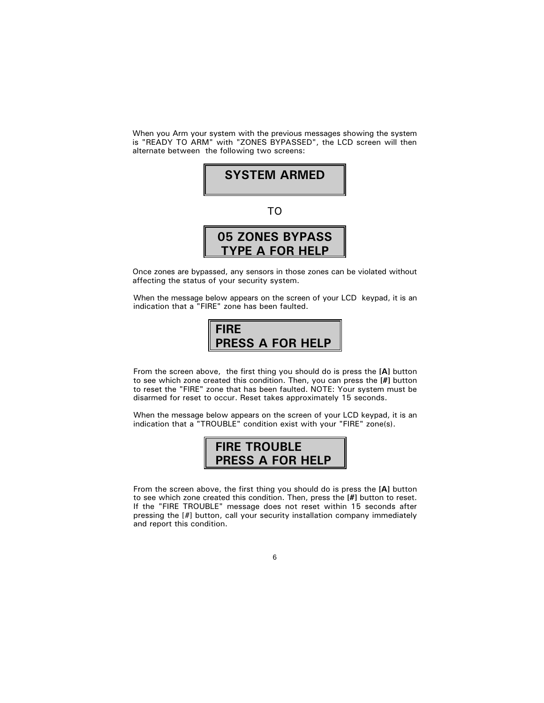When you Arm your system with the previous messages showing the system is "READY TO ARM" with "ZONES BYPASSED", the LCD screen will then alternate between the following two screens:



Once zones are bypassed, any sensors in those zones can be violated without affecting the status of your security system.

When the message below appears on the screen of your LCD keypad, it is an indication that a "FIRE" zone has been faulted.



From the screen above, the first thing you should do is press the [A] button to see which zone created this condition. Then, you can press the [#] button to reset the "FIRE" zone that has been faulted. NOTE: Your system must be disarmed for reset to occur. Reset takes approximately 15 seconds.

When the message below appears on the screen of your LCD keypad, it is an indication that a "TROUBLE" condition exist with your "FIRE" zone(s).



From the screen above, the first thing you should do is press the [A] button to see which zone created this condition. Then, press the [#] button to reset. If the "FIRE TROUBLE" message does not reset within 15 seconds after pressing the [#] button, call your security installation company immediately and report this condition.

#### $\,6\,$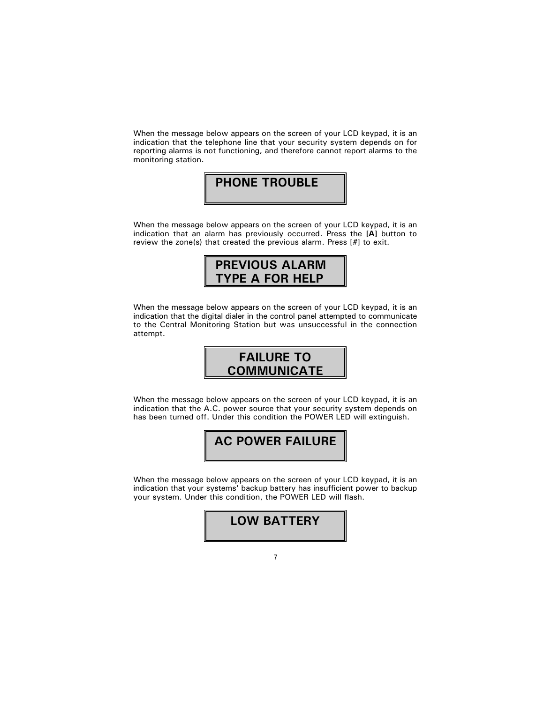When the message below appears on the screen of your LCD keypad, it is an indication that the telephone line that your security system depends on for reporting alarms is not functioning, and therefore cannot report alarms to the monitoring station.

## **PHONE TROUBLE**

When the message below appears on the screen of your LCD keypad, it is an indication that an alarm has previously occurred. Press the [A] button to review the zone(s) that created the previous alarm. Press [#] to exit.



When the message below appears on the screen of your LCD keypad, it is an indication that the digital dialer in the control panel attempted to communicate to the Central Monitoring Station but was unsuccessful in the connection attempt.



When the message below appears on the screen of your LCD keypad, it is an indication that the A.C. power source that your security system depends on has been turned off. Under this condition the POWER LED will extinguish.



When the message below appears on the screen of your LCD keypad, it is an indication that your systems' backup battery has insufficient power to backup your system. Under this condition, the POWER LED will flash.



 $\overline{7}$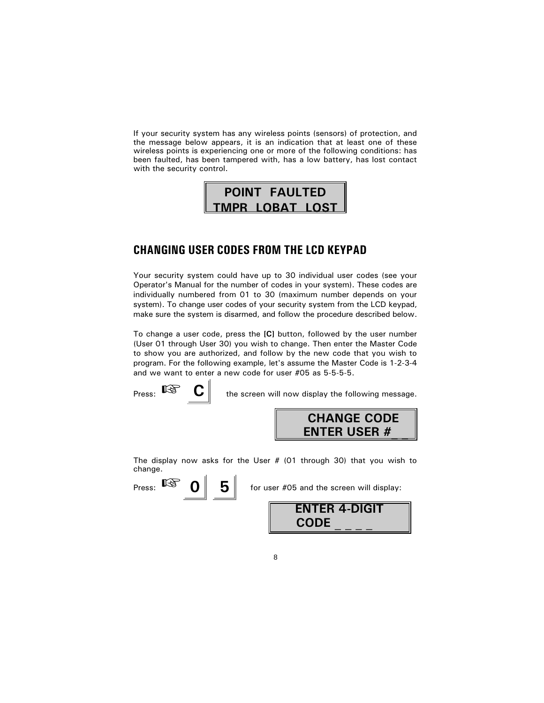If your security system has any wireless points (sensors) of protection, and the message below appears, it is an indication that at least one of these wireless points is experiencing one or more of the following conditions: has been faulted, has been tampered with, has a low battery, has lost contact with the security control.



### **CHANGING USER CODES FROM THE LCD KEYPAD**

Your security system could have up to 30 individual user codes (see your Operator's Manual for the number of codes in your system). These codes are individually numbered from 01 to 30 (maximum number depends on your system). To change user codes of your security system from the LCD keypad, make sure the system is disarmed, and follow the procedure described below.

To change a user code, press the [C] button, followed by the user number (User 01 through User 30) you wish to change. Then enter the Master Code to show you are authorized, and follow by the new code that you wish to program. For the following example, let's assume the Master Code is 1-2-3-4 and we want to enter a new code for user #05 as 5-5-5-5.

Press:  $\mathbb{R}$ 

the screen will now display the following message.



The display now asks for the User  $# (01$  through 30) that you wish to change.

Press:  $\mathbb{R}$  $5|$ 

for user #05 and the screen will display:

| <b>ENTER 4-DIGIT</b> |  |
|----------------------|--|
| <b>CODE</b>          |  |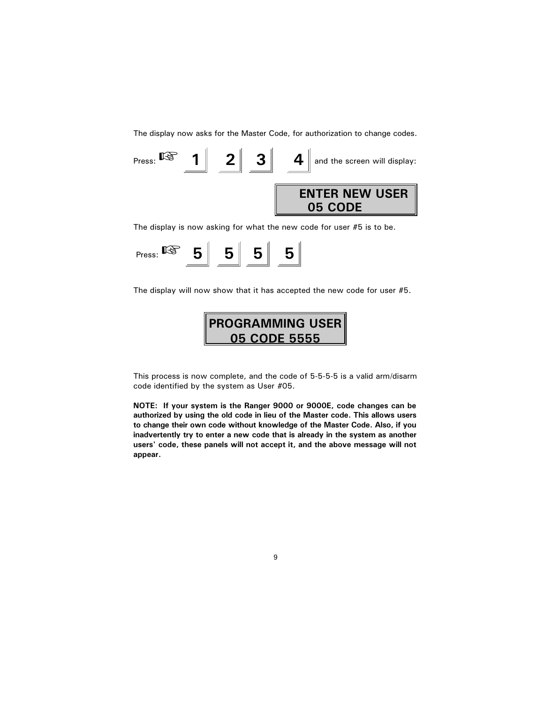The display now asks for the Master Code, for authorization to change codes.



The display is now asking for what the new code for user #5 is to be.

| Press: |  |  |  |  |
|--------|--|--|--|--|
|--------|--|--|--|--|

The display will now show that it has accepted the new code for user #5.



This process is now complete, and the code of 5-5-5-5 is a valid arm/disarm code identified by the system as User #05.

NOTE: If your system is the Ranger 9000 or 9000E, code changes can be authorized by using the old code in lieu of the Master code. This allows users to change their own code without knowledge of the Master Code. Also, if you inadvertently try to enter a new code that is already in the system as another users' code, these panels will not accept it, and the above message will not appear.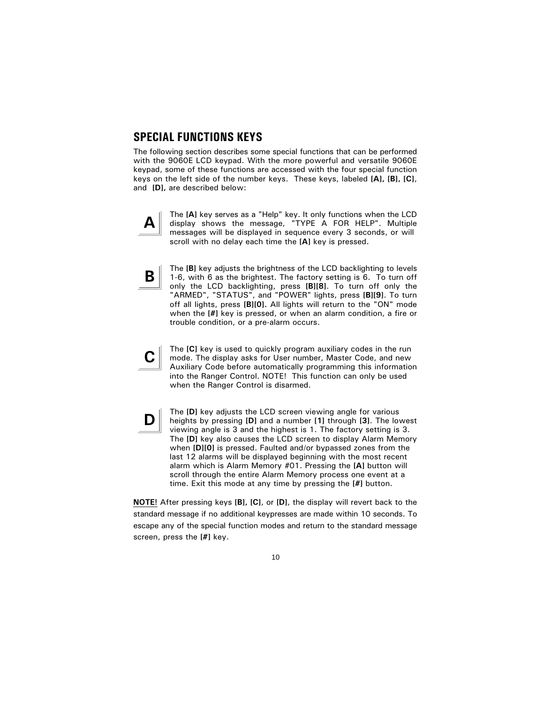#### **SPECIAL FUNCTIONS KEYS**

The following section describes some special functions that can be performed with the 9060E LCD keypad. With the more powerful and versatile 9060E keypad, some of these functions are accessed with the four special function keys on the left side of the number keys. These keys, labeled [A], [B], [C], and [D], are described below:



The [A] key serves as a "Help" key. It only functions when the LCD display shows the message, "TYPE A FOR HELP". Multiple messages will be displayed in sequence every 3 seconds, or will scroll with no delay each time the [A] key is pressed.



C.

D

The [B] key adjusts the brightness of the LCD backlighting to levels 1-6, with 6 as the brightest. The factory setting is 6. To turn off only the LCD backlighting, press [B][8]. To turn off only the "ARMED", "STATUS", and "POWER" lights, press [B][9]. To turn off all lights, press [B][0]. All lights will return to the "ON" mode when the [#] key is pressed, or when an alarm condition, a fire or trouble condition, or a pre-alarm occurs.

The [C] key is used to quickly program auxiliary codes in the run mode. The display asks for User number, Master Code, and new Auxiliary Code before automatically programming this information into the Ranger Control. NOTE! This function can only be used when the Ranger Control is disarmed.

The [D] key adjusts the LCD screen viewing angle for various heights by pressing [D] and a number [1] through [3]. The lowest viewing angle is 3 and the highest is 1. The factory setting is 3. The [D] key also causes the LCD screen to display Alarm Memory when [D][0] is pressed. Faulted and/or bypassed zones from the last 12 alarms will be displayed beginning with the most recent alarm which is Alarm Memory #01. Pressing the [A] button will scroll through the entire Alarm Memory process one event at a time. Exit this mode at any time by pressing the [#] button.

NOTE! After pressing keys [B], [C], or [D], the display will revert back to the standard message if no additional keypresses are made within 10 seconds. To escape any of the special function modes and return to the standard message screen, press the [#] key.

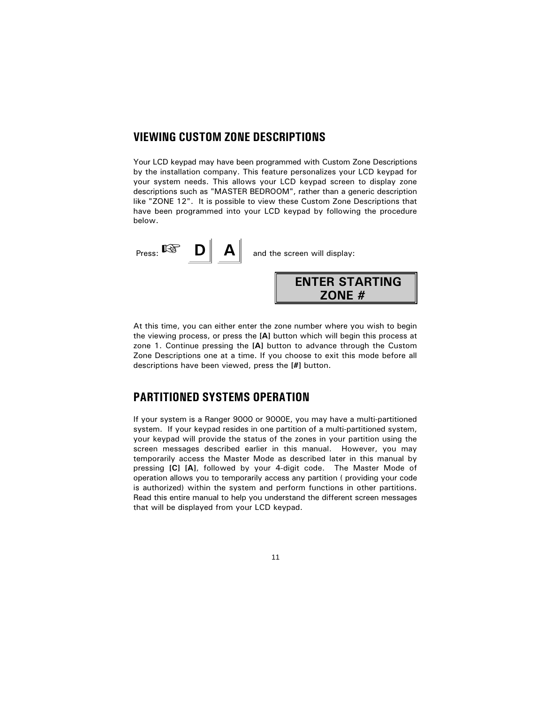#### **VIEWING CUSTOM ZONE DESCRIPTIONS**

Your LCD keypad may have been programmed with Custom Zone Descriptions by the installation company. This feature personalizes your LCD keypad for your system needs. This allows your LCD keypad screen to display zone descriptions such as "MASTER BEDROOM", rather than a generic description like "ZONE 12". It is possible to view these Custom Zone Descriptions that have been programmed into your LCD keypad by following the procedure below.



At this time, you can either enter the zone number where you wish to begin the viewing process, or press the [A] button which will begin this process at zone 1. Continue pressing the [A] button to advance through the Custom Zone Descriptions one at a time. If you choose to exit this mode before all descriptions have been viewed, press the [#] button.

## **PARTITIONED SYSTEMS OPERATION**

If your system is a Ranger 9000 or 9000E, you may have a multi-partitioned system. If your keypad resides in one partition of a multi-partitioned system, your keypad will provide the status of the zones in your partition using the screen messages described earlier in this manual. However, you may temporarily access the Master Mode as described later in this manual by pressing [C] [A], followed by your 4-digit code. The Master Mode of operation allows you to temporarily access any partition (providing your code is authorized) within the system and perform functions in other partitions. Read this entire manual to help you understand the different screen messages that will be displayed from your LCD keypad.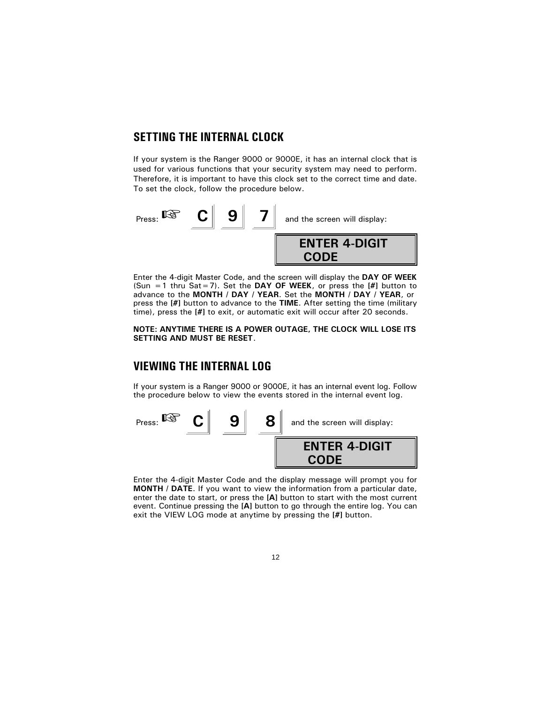### **SETTING THE INTERNAL CLOCK**

If your system is the Ranger 9000 or 9000E, it has an internal clock that is used for various functions that your security system may need to perform. Therefore, it is important to have this clock set to the correct time and date. To set the clock, follow the procedure below.



Enter the 4-digit Master Code, and the screen will display the DAY OF WEEK (Sun = 1 thru Sat = 7). Set the DAY OF WEEK, or press the  $[H]$  button to advance to the MONTH / DAY / YEAR. Set the MONTH / DAY / YEAR, or press the [#] button to advance to the TIME. After setting the time (military time), press the [#] to exit, or automatic exit will occur after 20 seconds.

#### NOTE: ANYTIME THERE IS A POWER OUTAGE, THE CLOCK WILL LOSE ITS SETTING AND MUST BE RESET.

## **VIEWING THE INTERNAL LOG**

If your system is a Ranger 9000 or 9000E, it has an internal event log. Follow the procedure below to view the events stored in the internal event log.



Enter the 4-digit Master Code and the display message will prompt you for MONTH / DATE. If you want to view the information from a particular date, enter the date to start, or press the [A] button to start with the most current event. Continue pressing the [A] button to go through the entire log. You can exit the VIEW LOG mode at anytime by pressing the [#] button.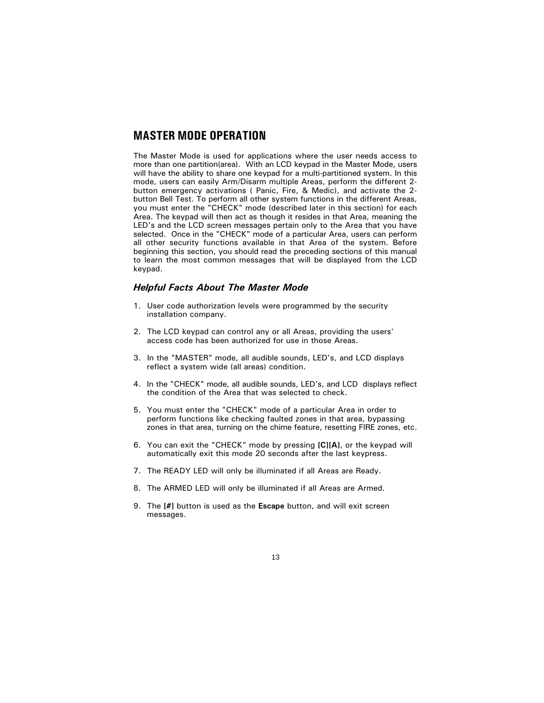## **MASTER MODE OPERATION**

The Master Mode is used for applications where the user needs access to more than one partition(area). With an LCD keypad in the Master Mode, users will have the ability to share one keypad for a multi-partitioned system. In this mode, users can easily Arm/Disarm multiple Areas, perform the different 2button emergency activations (Panic, Fire, & Medic), and activate the 2button Bell Test. To perform all other system functions in the different Areas, you must enter the "CHECK" mode (described later in this section) for each Area. The keypad will then act as though it resides in that Area, meaning the LED's and the LCD screen messages pertain only to the Area that you have selected. Once in the "CHECK" mode of a particular Area, users can perform all other security functions available in that Area of the system. Before beginning this section, you should read the preceding sections of this manual to learn the most common messages that will be displayed from the LCD keypad.

#### **Helpful Facts About The Master Mode**

- 1. User code authorization levels were programmed by the security installation company.
- 2. The LCD keypad can control any or all Areas, providing the users' access code has been authorized for use in those Areas.
- 3. In the "MASTER" mode, all audible sounds, LED's, and LCD displays reflect a system wide (all areas) condition.
- 4. In the "CHECK" mode, all audible sounds, LED's, and LCD displays reflect the condition of the Area that was selected to check.
- 5. You must enter the "CHECK" mode of a particular Area in order to perform functions like checking faulted zones in that area, bypassing zones in that area, turning on the chime feature, resetting FIRE zones, etc.
- 6. You can exit the "CHECK" mode by pressing [C][A], or the keypad will automatically exit this mode 20 seconds after the last keypress.
- 7. The READY LED will only be illuminated if all Areas are Ready.
- 8. The ARMED LED will only be illuminated if all Areas are Armed.
- 9. The [#] button is used as the Escape button, and will exit screen messages.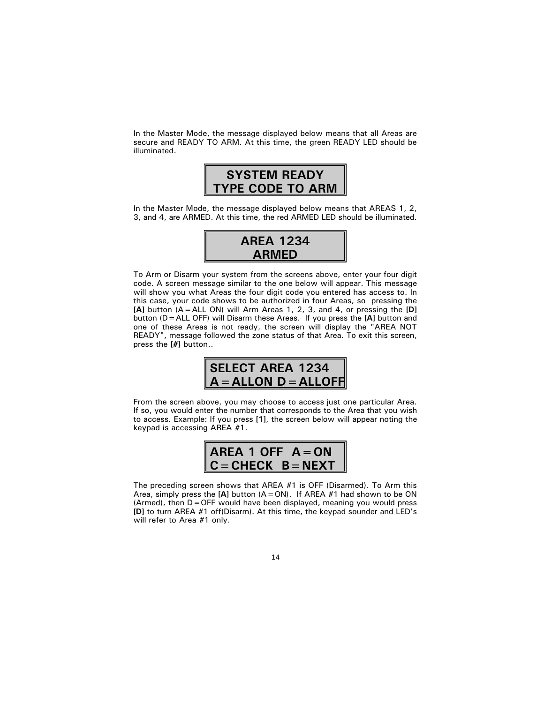In the Master Mode, the message displayed below means that all Areas are secure and READY TO ARM. At this time, the green READY LED should be illuminated.



In the Master Mode, the message displayed below means that AREAS 1, 2, 3, and 4, are ARMED. At this time, the red ARMED LED should be illuminated.



To Arm or Disarm your system from the screens above, enter your four digit code. A screen message similar to the one below will appear. This message will show you what Areas the four digit code you entered has access to. In this case, your code shows to be authorized in four Areas, so pressing the [A] button (A = ALL ON) will Arm Areas 1, 2, 3, and 4, or pressing the [D] button ( $D = ALL$  OFF) will Disarm these Areas. If you press the [A] button and one of these Areas is not ready, the screen will display the "AREA NOT READY", message followed the zone status of that Area. To exit this screen, press the [#] button..



From the screen above, you may choose to access just one particular Area. If so, you would enter the number that corresponds to the Area that you wish to access. Example: If you press [1], the screen below will appear noting the keypad is accessing AREA #1.



The preceding screen shows that AREA #1 is OFF (Disarmed). To Arm this Area, simply press the [A] button  $(A = ON)$ . If AREA #1 had shown to be ON (Armed), then  $D =$  OFF would have been displayed, meaning you would press [D] to turn AREA #1 off(Disarm). At this time, the keypad sounder and LED's will refer to Area #1 only.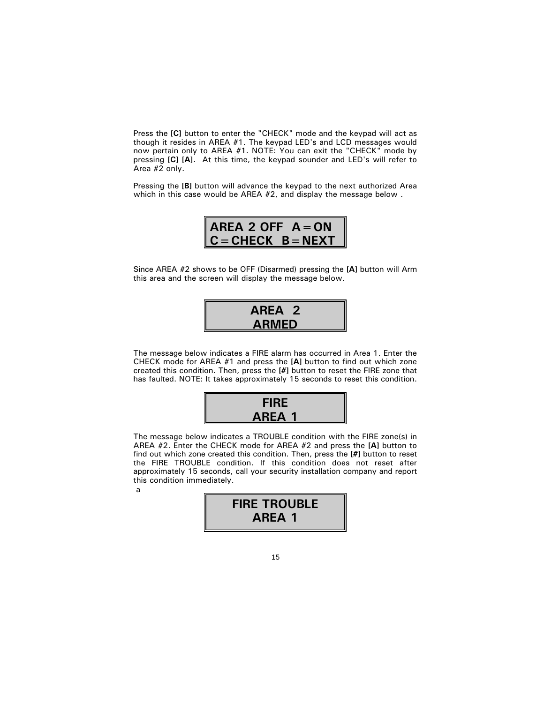Press the [C] button to enter the "CHECK" mode and the keypad will act as though it resides in AREA #1. The keypad LED's and LCD messages would now pertain only to AREA #1. NOTE: You can exit the "CHECK" mode by pressing [C] [A]. At this time, the keypad sounder and LED's will refer to Area #2 only.

Pressing the [B] button will advance the keypad to the next authorized Area which in this case would be AREA #2, and display the message below.

AREA 2 OFF  $A = ON$  $C =$ CHECK  $B =$ NEXT

Since AREA #2 shows to be OFF (Disarmed) pressing the [A] button will Arm this area and the screen will display the message below.

AREA<sub>2</sub> **ARMED** 

The message below indicates a FIRE alarm has occurred in Area 1. Enter the CHECK mode for AREA #1 and press the [A] button to find out which zone created this condition. Then, press the [#] button to reset the FIRE zone that has faulted. NOTE: It takes approximately 15 seconds to reset this condition.



The message below indicates a TROUBLE condition with the FIRE zone(s) in AREA #2. Enter the CHECK mode for AREA #2 and press the [A] button to find out which zone created this condition. Then, press the [#] button to reset the FIRE TROUBLE condition. If this condition does not reset after approximately 15 seconds, call your security installation company and report this condition immediately. a

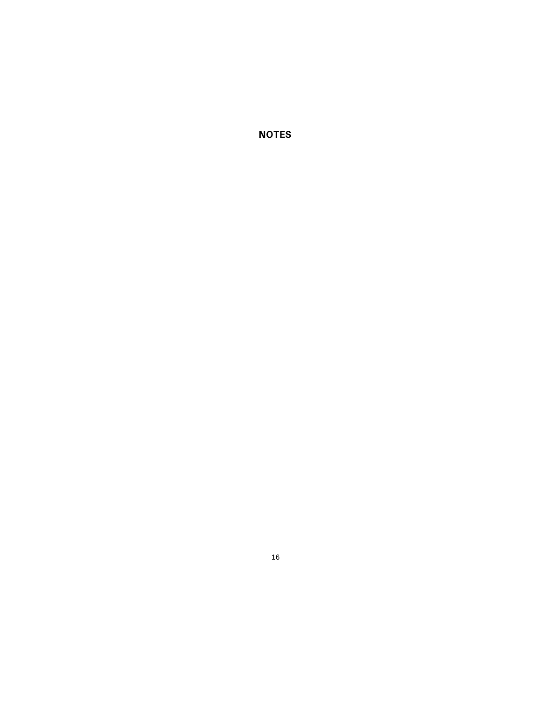**NOTES**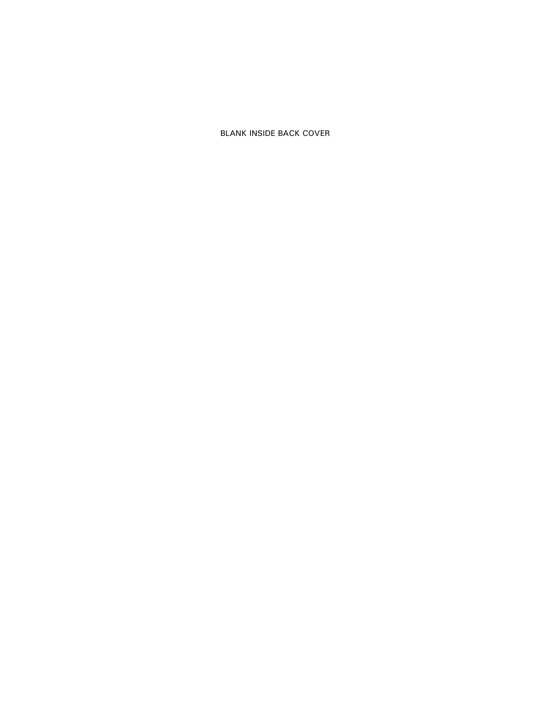**BLANK INSIDE BACK COVER**